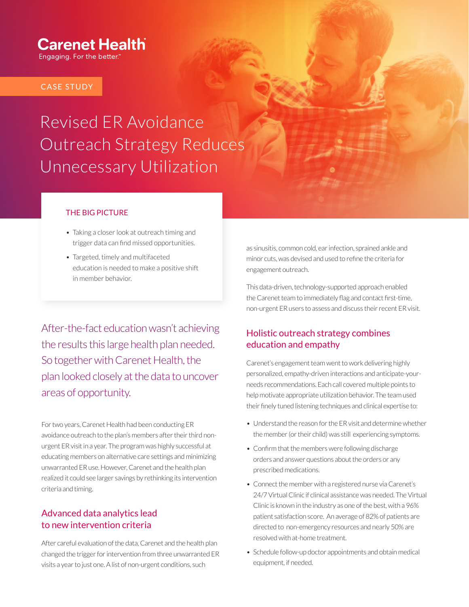### **Carenet Health**

Engaging. For the better."

#### CASE STUDY

## Revised ER Avoidance Outreach Strategy Reduces Unnecessary Utilization

#### THE BIG PICTURE

- Taking a closer look at outreach timing and trigger data can find missed opportunities.
- Targeted, timely and multifaceted education is needed to make a positive shift in member behavior.

After-the-fact education wasn't achieving the results this large health plan needed. So together with Carenet Health, the plan looked closely at the data to uncover areas of opportunity.

For two years, Carenet Health had been conducting ER avoidance outreach to the plan's members after their third nonurgent ER visit in a year. The program was highly successful at educating members on alternative care settings and minimizing unwarranted ER use. However, Carenet and the health plan realized it could see larger savings by rethinking its intervention criteria and timing.

#### Advanced data analytics lead to new intervention criteria

After careful evaluation of the data, Carenet and the health plan changed the trigger for intervention from three unwarranted ER visits a year to just one. A list of non-urgent conditions, such

as sinusitis, common cold, ear infection, sprained ankle and minor cuts, was devised and used to refine the criteria for engagement outreach.

This data-driven, technology-supported approach enabled the Carenet team to immediately flag and contact first-time, non-urgent ER users to assess and discuss their recent ER visit.

#### Holistic outreach strategy combines education and empathy

Carenet's engagement team went to work delivering highly personalized, empathy-driven interactions and anticipate-yourneeds recommendations. Each call covered multiple points to help motivate appropriate utilization behavior. The team used their finely tuned listening techniques and clinical expertise to:

- Understand the reason for the ER visit and determine whether the member (or their child) was still experiencing symptoms.
- Confirm that the members were following discharge orders and answer questions about the orders or any prescribed medications.
- Connect the member with a registered nurse via Carenet's 24/7 Virtual Clinic if clinical assistance was needed. The Virtual Clinic is known in the industry as one of the best, with a 96% patient satisfaction score. An average of 82% of patients are directed to non-emergency resources and nearly 50% are resolved with at-home treatment.
- Schedule follow-up doctor appointments and obtain medical equipment, if needed.